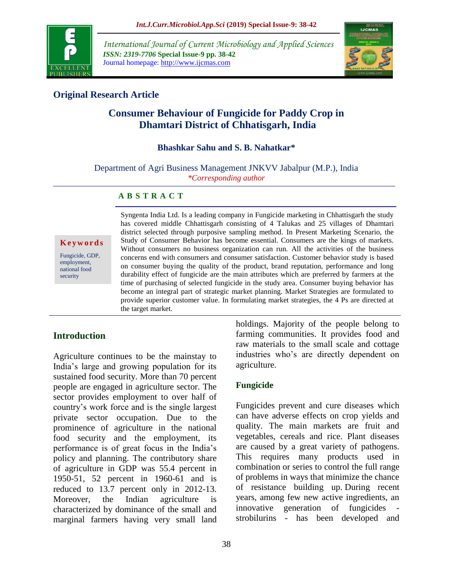

*International Journal of Current Microbiology and Applied Sciences ISSN: 2319-7706* **Special Issue-9 pp. 38-42** Journal homepage: http://www.ijcmas.com



# **Original Research Article**

# **Consumer Behaviour of Fungicide for Paddy Crop in Dhamtari District of Chhatisgarh, India**

### **Bhashkar Sahu and S. B. Nahatkar\***

Department of Agri Business Management JNKVV Jabalpur (M.P.), India *\*Corresponding author*

#### **A B S T R A C T**

**K e y w o r d s**

Fungicide, GDP, employment, national food security

Syngenta India Ltd. Is a leading company in Fungicide marketing in Chhattisgarh the study has covered middle Chhattisgarh consisting of 4 Talukas and 25 villages of Dhamtari district selected through purposive sampling method. In Present Marketing Scenario, the Study of Consumer Behavior has become essential. Consumers are the kings of markets. Without consumers no business organization can run. All the activities of the business concerns end with consumers and consumer satisfaction. Customer behavior study is based on consumer buying the quality of the product, brand reputation, performance and long durability effect of fungicide are the main attributes which are preferred by farmers at the time of purchasing of selected fungicide in the study area. Consumer buying behavior has become an integral part of strategic market planning. Market Strategies are formulated to provide superior customer value. In formulating market strategies, the 4 Ps are directed at the target market.

### **Introduction**

Agriculture continues to be the mainstay to India's large and growing population for its sustained food security. More than 70 percent people are engaged in agriculture sector. The sector provides employment to over half of country's work force and is the single largest private sector occupation. Due to the prominence of agriculture in the national food security and the employment, its performance is of great focus in the India's policy and planning. The contributory share of agriculture in GDP was 55.4 percent in 1950-51, 52 percent in 1960-61 and is reduced to 13.7 percent only in 2012-13. Moreover, the Indian agriculture is characterized by dominance of the small and marginal farmers having very small land

holdings. Majority of the people belong to farming communities. It provides food and raw materials to the small scale and cottage industries who's are directly dependent on agriculture.

### **Fungicide**

Fungicides prevent and cure diseases which can have adverse effects on crop yields and quality. The main markets are fruit and vegetables, cereals and rice. Plant diseases are caused by a great variety of pathogens. This requires many products used in combination or series to control the full range of problems in ways that minimize the chance of resistance building up. During recent years, among few new active ingredients, an innovative generation of fungicides strobilurins - has been developed and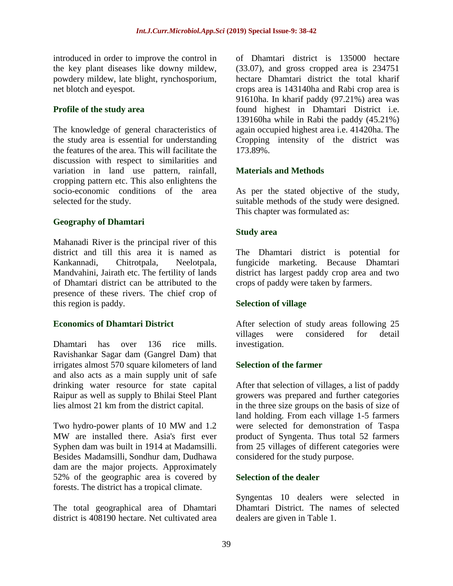introduced in order to improve the control in the key plant diseases like downy mildew, powdery mildew, late blight, rynchosporium, net blotch and eyespot.

### **Profile of the study area**

The knowledge of general characteristics of the study area is essential for understanding the features of the area. This will facilitate the discussion with respect to similarities and variation in land use pattern, rainfall, cropping pattern etc. This also enlightens the socio-economic conditions of the area selected for the study.

# **Geography of Dhamtari**

Mahanadi River is the principal river of this district and till this area it is named as Kankannadi, Chitrotpala, Neelotpala, Mandvahini, Jairath etc. The fertility of lands of Dhamtari district can be attributed to the presence of these rivers. The chief crop of this region is paddy.

### **Economics of Dhamtari District**

Dhamtari has over 136 rice mills. Ravishankar Sagar dam (Gangrel Dam) that irrigates almost 570 square kilometers of land and also acts as a main supply unit of safe drinking water resource for state capital Raipur as well as supply to Bhilai Steel Plant lies almost 21 km from the district capital.

Two hydro-power plants of 10 MW and 1.2 MW are installed there. Asia's first ever Syphen dam was built in 1914 at Madamsilli. Besides Madamsilli, Sondhur dam, Dudhawa dam are the major projects. Approximately 52% of the geographic area is covered by forests. The district has a tropical climate.

The total geographical area of Dhamtari district is 408190 hectare. Net cultivated area of Dhamtari district is 135000 hectare (33.07), and gross cropped area is 234751 hectare Dhamtari district the total kharif crops area is 143140ha and Rabi crop area is 91610ha. In kharif paddy (97.21%) area was found highest in Dhamtari District i.e. 139160ha while in Rabi the paddy (45.21%) again occupied highest area i.e. 41420ha. The Cropping intensity of the district was 173.89%.

# **Materials and Methods**

As per the stated objective of the study, suitable methods of the study were designed. This chapter was formulated as:

# **Study area**

The Dhamtari district is potential for fungicide marketing. Because Dhamtari district has largest paddy crop area and two crops of paddy were taken by farmers.

# **Selection of village**

After selection of study areas following 25 villages were considered for detail investigation.

# **Selection of the farmer**

After that selection of villages, a list of paddy growers was prepared and further categories in the three size groups on the basis of size of land holding. From each village 1-5 farmers were selected for demonstration of Taspa product of Syngenta. Thus total 52 farmers from 25 villages of different categories were considered for the study purpose.

### **Selection of the dealer**

Syngentas 10 dealers were selected in Dhamtari District. The names of selected dealers are given in Table 1.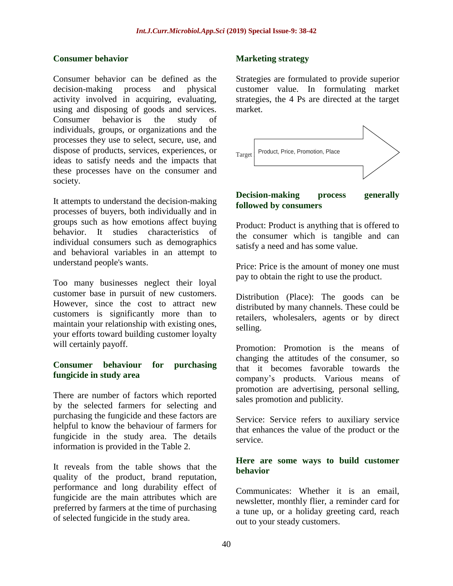#### **Consumer behavior**

Consumer behavior can be defined as the decision-making process and physical activity involved in acquiring, evaluating, using and disposing of goods and services. Consumer behavior is the study of individuals, groups, or organizations and the processes they use to select, secure, use, and dispose of products, services, experiences, or ideas to satisfy needs and the impacts that these processes have on the consumer and society.

It attempts to understand the decision-making processes of buyers, both individually and in groups such as how emotions affect buying behavior. It studies characteristics of individual consumers such as demographics and behavioral variables in an attempt to understand people's wants.

Too many businesses neglect their loyal customer base in pursuit of new customers. However, since the cost to attract new customers is significantly more than to maintain your relationship with existing ones, your efforts toward building customer loyalty will certainly payoff.

#### **Consumer behaviour for purchasing fungicide in study area**

There are number of factors which reported by the selected farmers for selecting and purchasing the fungicide and these factors are helpful to know the behaviour of farmers for fungicide in the study area. The details information is provided in the Table 2.

It reveals from the table shows that the quality of the product, brand reputation, performance and long durability effect of fungicide are the main attributes which are preferred by farmers at the time of purchasing of selected fungicide in the study area.

#### **Marketing strategy**

Strategies are formulated to provide superior customer value. In formulating market strategies, the 4 Ps are directed at the target market.



#### **Decision-making process generally followed by consumers**

Product: Product is anything that is offered to the consumer which is tangible and can satisfy a need and has some value.

Price: Price is the amount of money one must pay to obtain the right to use the product.

Distribution (Place): The goods can be distributed by many channels. These could be retailers, wholesalers, agents or by direct selling.

Promotion: Promotion is the means of changing the attitudes of the consumer, so that it becomes favorable towards the company's products. Various means of promotion are advertising, personal selling, sales promotion and publicity.

Service: Service refers to auxiliary service that enhances the value of the product or the service.

#### **Here are some ways to build customer behavior**

Communicates: Whether it is an email, newsletter, monthly flier, a reminder card for a tune up, or a holiday greeting card, reach out to your steady customers.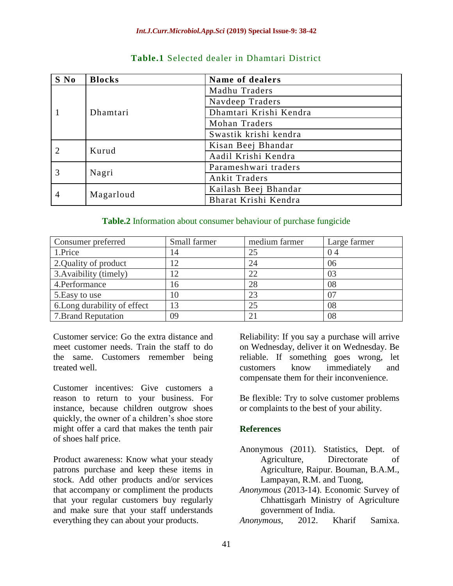| S No | <b>Blocks</b> | Name of dealers        |  |  |
|------|---------------|------------------------|--|--|
|      | Dhamtari      | Madhu Traders          |  |  |
|      |               | Navdeep Traders        |  |  |
|      |               | Dhamtari Krishi Kendra |  |  |
|      |               | Mohan Traders          |  |  |
|      |               | Swastik krishi kendra  |  |  |
|      | Kurud         | Kisan Beej Bhandar     |  |  |
|      |               | Aadil Krishi Kendra    |  |  |
| 3    | Nagri         | Parameshwari traders   |  |  |
|      |               | Ankit Traders          |  |  |
| 4    | Magarloud     | Kailash Beej Bhandar   |  |  |
|      |               | Bharat Krishi Kendra   |  |  |

# **Table.1** Selected dealer in Dhamtari District

#### **Table.2** Information about consumer behaviour of purchase fungicide

| Consumer preferred           | Small farmer | medium farmer | Large farmer |
|------------------------------|--------------|---------------|--------------|
| 1.Price                      | 14           | 25            | 04           |
| 2. Quality of product        | 12           | 24            | 06           |
| 3. Avaibility (timely)       | 12           | 22            | 03           |
| 4.Performance                | 16           | 28            | 08           |
| 5. Easy to use               | 10           | 23            | 07           |
| 6. Long durability of effect | 13           | 25            | 08           |
| 7. Brand Reputation          | 09           | 21            | 08           |

Customer service: Go the extra distance and meet customer needs. Train the staff to do the same. Customers remember being treated well.

Customer incentives: Give customers a reason to return to your business. For instance, because children outgrow shoes quickly, the owner of a children's shoe store might offer a card that makes the tenth pair of shoes half price.

Product awareness: Know what your steady patrons purchase and keep these items in stock. Add other products and/or services that accompany or compliment the products that your regular customers buy regularly and make sure that your staff understands everything they can about your products.

Reliability: If you say a purchase will arrive on Wednesday, deliver it on Wednesday. Be reliable. If something goes wrong, let customers know immediately and compensate them for their inconvenience.

Be flexible: Try to solve customer problems or complaints to the best of your ability.

### **References**

- Anonymous (2011). Statistics, Dept. of Agriculture, Directorate of Agriculture, Raipur. Bouman, B.A.M., Lampayan, R.M. and Tuong,
- *Anonymous* (2013-14). Economic Survey of Chhattisgarh Ministry of Agriculture government of India.
- *Anonymous*, 2012. Kharif Samixa.